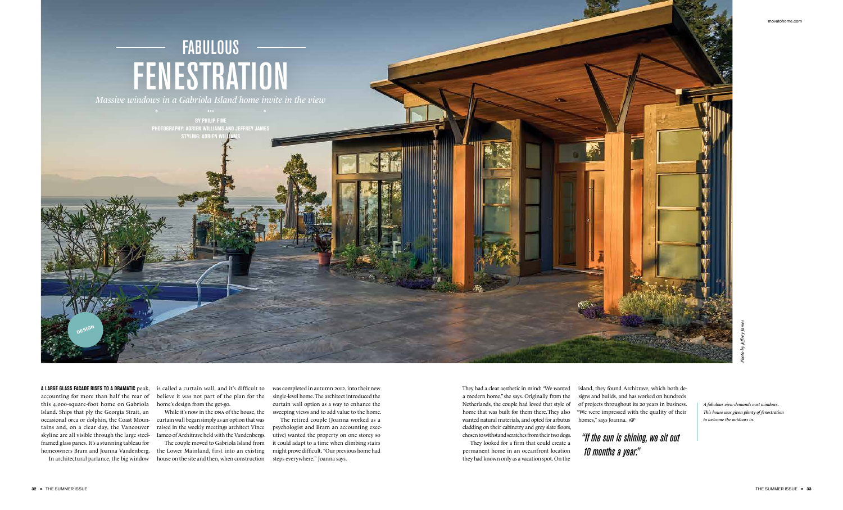## *"If the sun is shining, we sit out 10 months a year."*

**A LARGE GLASS FACADE RISES TO A DRAMATIC** peak, is called a curtain wall, and it's difficult to was completed in autumn 2012, into their new believe it was not part of the plan for the home's design from the get-go.

accounting for more than half the rear of this 4,000-square-foot home on Gabriola Island. Ships that ply the Georgia Strait, an occasional orca or dolphin, the Coast Mountains and, on a clear day, the Vancouver skyline are all visible through the large steelframed glass panes. It's a stunning tableau for homeowners Bram and Joanna Vandenberg. In architectural parlance, the big window

While it's now in the DNA of the house, the sweeping views and to add value to the home. single-level home.The architect introduced the curtain wall option as a way to enhance the

curtain wall began simply as an option that was raised in the weekly meetings architect Vince Iameo of Architrave held with the Vandenbergs.

The couple moved to Gabriola Island from the Lower Mainland, first into an existing house on the site and then, when construction island, they found Architrave, which both designs and builds, and has worked on hundreds of projects throughout its 20 years in business. "We were impressed with the quality of their homes," says Joanna.  $\sqrt{3}$ 



The retired couple (Joanna worked as a psychologist and Bram an accounting executive) wanted the property on one storey so it could adapt to a time when climbing stairs might prove difficult. "Our previous home had steps everywhere," Joanna says.

They had a clear aesthetic in mind: "We wanted a modern home,"she says. Originally from the Netherlands, the couple had loved that style of home that was built for them there.They also wanted natural materials, and opted for arbutus cladding on their cabinetry and grey slate floors, chosen to withstand scratches from their two dogs.

They looked for a firm that could create a permanent home in an oceanfront location they had known only as a vacation spot. On the

![](_page_0_Picture_0.jpeg)

*Massive windows in a Gabriola Island home invite in the view*

**BY PHILIP FINE PHOTOGRAPHY: ADRIEN WILLIAMS and Jeffrey James**

*A fabulous view demands vast windows. This house was given plenty of fenestration*

**Design**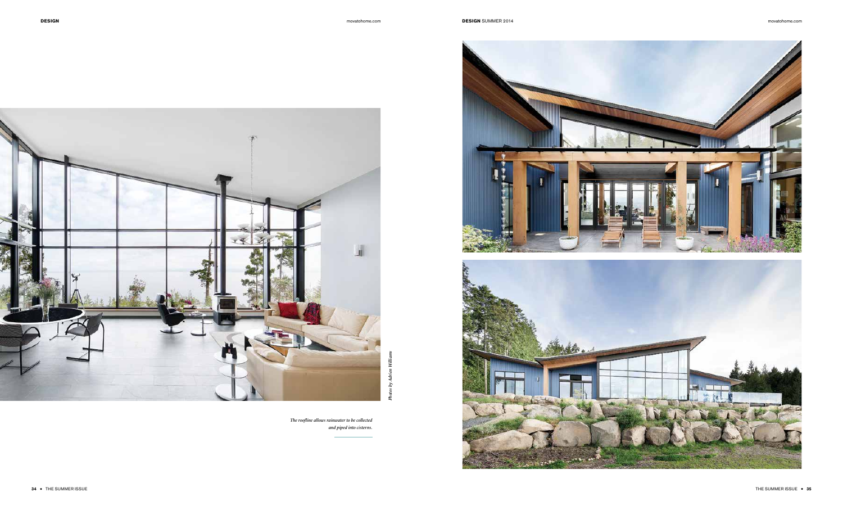![](_page_1_Picture_3.jpeg)

![](_page_1_Picture_4.jpeg)

*The roofline allows rainwater to be collected and piped into cisterns.*

![](_page_1_Picture_5.jpeg)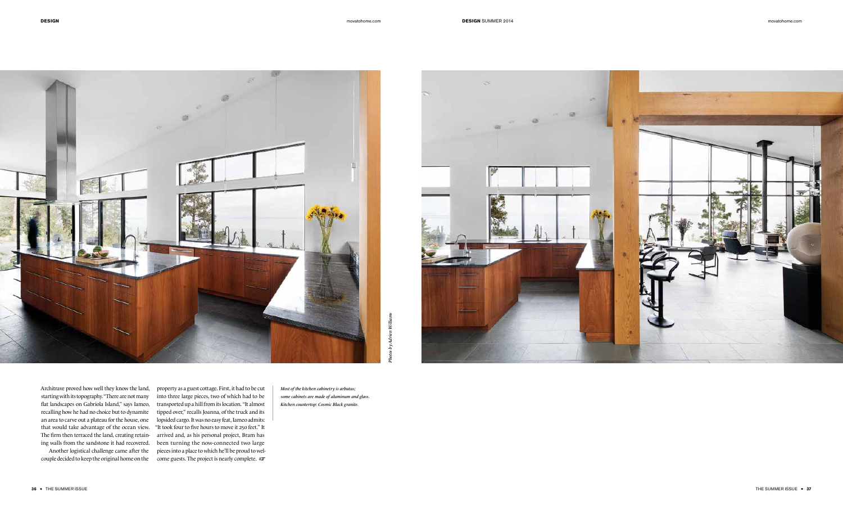Architrave proved how well they know the land, starting with its topography."There are not many flat landscapes on Gabriola Island," says Iameo, recalling how he had no choice but to dynamite an area to carve out a plateau for the house, one that would take advantage of the ocean view. The firm then terraced the land, creating retaining walls from the sandstone it had recovered.

Another logistical challenge came after the couple decided to keep the original home on the

property as a guest cottage. First, it had to be cut into three large pieces, two of which had to be transported up a hill from its location. "It almost tipped over," recalls Joanna, of the truck and its lopsided cargo. It was no easy feat, Iameo admits: "It took four to five hours to move it 250 feet." It arrived and, as his personal project, Bram has been turning the now-connected two large pieces into a place to which he'll be proud to welcome guests. The project is nearly complete. •

*Most of the kitchen cabinetry is arbutus; some cabinets are made of aluminum and glass. Kitchen countertop: Cosmic Black granite.*

![](_page_2_Picture_3.jpeg)

![](_page_2_Picture_4.jpeg)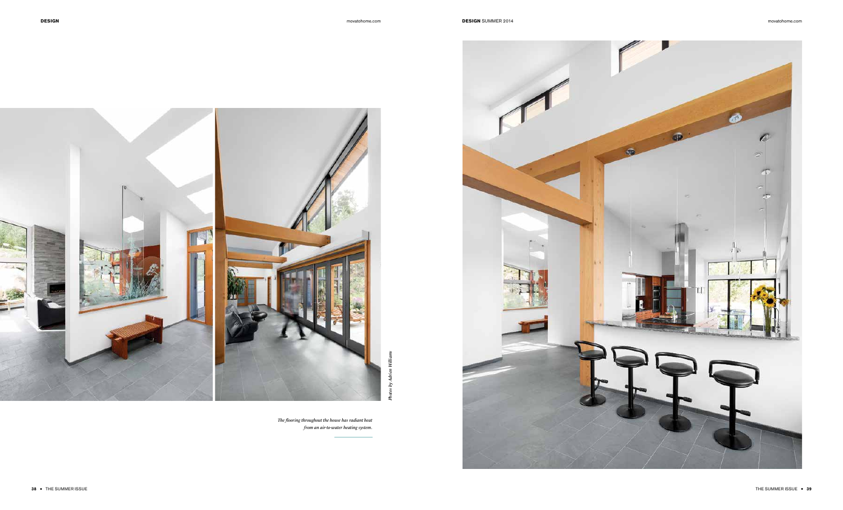## **DESIGN** movatohome.com **DESIGN** SUMMER 2014 movatohome.com **DESIGN** SUMMER 2014

*The flooring throughout the house has radiant heat from an air-to-water heating system.*

![](_page_3_Picture_3.jpeg)

![](_page_3_Picture_4.jpeg)